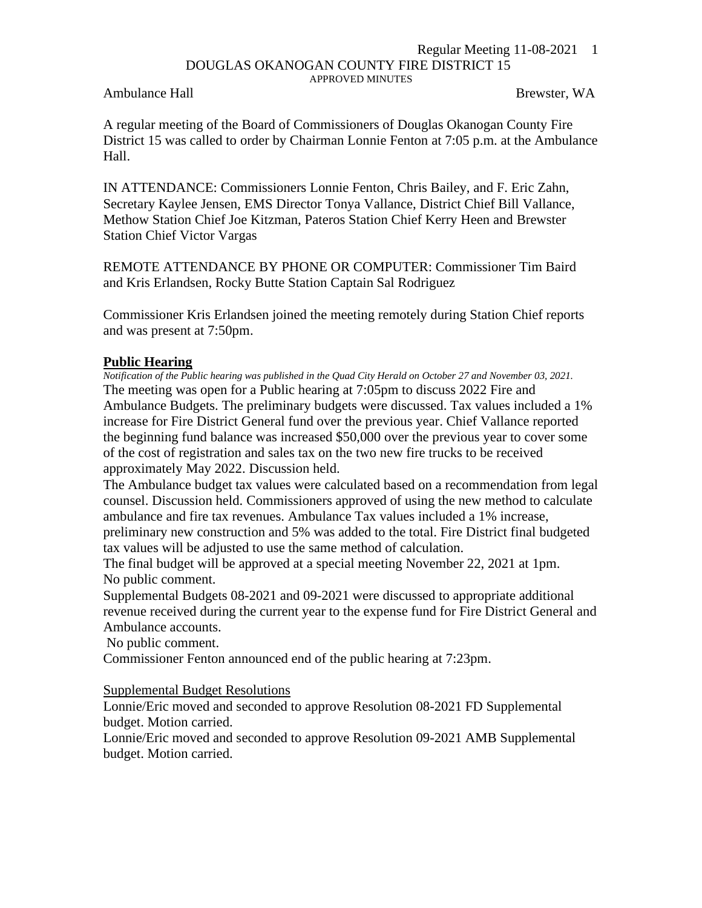## Regular Meeting 11-08-2021 1 DOUGLAS OKANOGAN COUNTY FIRE DISTRICT 15 APPROVED MINUTES

Ambulance Hall Brewster, WA

A regular meeting of the Board of Commissioners of Douglas Okanogan County Fire District 15 was called to order by Chairman Lonnie Fenton at 7:05 p.m. at the Ambulance Hall.

IN ATTENDANCE: Commissioners Lonnie Fenton, Chris Bailey, and F. Eric Zahn, Secretary Kaylee Jensen, EMS Director Tonya Vallance, District Chief Bill Vallance, Methow Station Chief Joe Kitzman, Pateros Station Chief Kerry Heen and Brewster Station Chief Victor Vargas

REMOTE ATTENDANCE BY PHONE OR COMPUTER: Commissioner Tim Baird and Kris Erlandsen, Rocky Butte Station Captain Sal Rodriguez

Commissioner Kris Erlandsen joined the meeting remotely during Station Chief reports and was present at 7:50pm.

## **Public Hearing**

*Notification of the Public hearing was published in the Quad City Herald on October 27 and November 03, 2021.* The meeting was open for a Public hearing at 7:05pm to discuss 2022 Fire and Ambulance Budgets. The preliminary budgets were discussed. Tax values included a 1% increase for Fire District General fund over the previous year. Chief Vallance reported the beginning fund balance was increased \$50,000 over the previous year to cover some of the cost of registration and sales tax on the two new fire trucks to be received approximately May 2022. Discussion held.

The Ambulance budget tax values were calculated based on a recommendation from legal counsel. Discussion held. Commissioners approved of using the new method to calculate ambulance and fire tax revenues. Ambulance Tax values included a 1% increase, preliminary new construction and 5% was added to the total. Fire District final budgeted tax values will be adjusted to use the same method of calculation.

The final budget will be approved at a special meeting November 22, 2021 at 1pm. No public comment.

Supplemental Budgets 08-2021 and 09-2021 were discussed to appropriate additional revenue received during the current year to the expense fund for Fire District General and Ambulance accounts.

No public comment.

Commissioner Fenton announced end of the public hearing at 7:23pm.

Supplemental Budget Resolutions

Lonnie/Eric moved and seconded to approve Resolution 08-2021 FD Supplemental budget. Motion carried.

Lonnie/Eric moved and seconded to approve Resolution 09-2021 AMB Supplemental budget. Motion carried.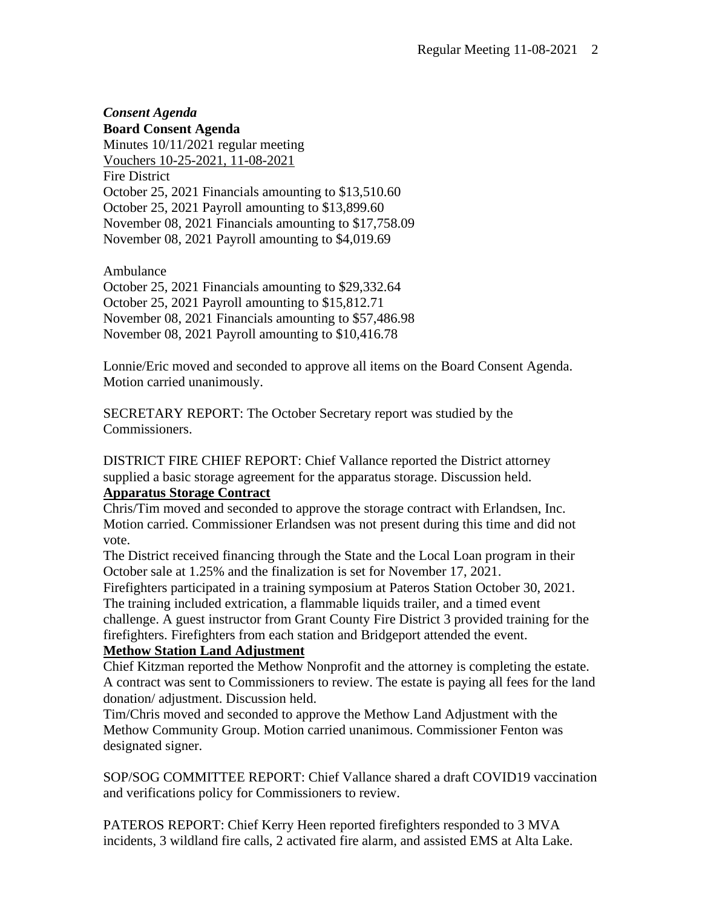## *Consent Agenda* **Board Consent Agenda** Minutes 10/11/2021 regular meeting Vouchers 10-25-2021, 11-08-2021 Fire District October 25, 2021 Financials amounting to \$13,510.60 October 25, 2021 Payroll amounting to \$13,899.60 November 08, 2021 Financials amounting to \$17,758.09 November 08, 2021 Payroll amounting to \$4,019.69

Ambulance October 25, 2021 Financials amounting to \$29,332.64 October 25, 2021 Payroll amounting to \$15,812.71 November 08, 2021 Financials amounting to \$57,486.98 November 08, 2021 Payroll amounting to \$10,416.78

Lonnie/Eric moved and seconded to approve all items on the Board Consent Agenda. Motion carried unanimously.

SECRETARY REPORT: The October Secretary report was studied by the Commissioners.

DISTRICT FIRE CHIEF REPORT: Chief Vallance reported the District attorney supplied a basic storage agreement for the apparatus storage. Discussion held. **Apparatus Storage Contract**

Chris/Tim moved and seconded to approve the storage contract with Erlandsen, Inc. Motion carried. Commissioner Erlandsen was not present during this time and did not vote.

The District received financing through the State and the Local Loan program in their October sale at 1.25% and the finalization is set for November 17, 2021.

Firefighters participated in a training symposium at Pateros Station October 30, 2021. The training included extrication, a flammable liquids trailer, and a timed event

challenge. A guest instructor from Grant County Fire District 3 provided training for the firefighters. Firefighters from each station and Bridgeport attended the event.

## **Methow Station Land Adjustment**

Chief Kitzman reported the Methow Nonprofit and the attorney is completing the estate. A contract was sent to Commissioners to review. The estate is paying all fees for the land donation/ adjustment. Discussion held.

Tim/Chris moved and seconded to approve the Methow Land Adjustment with the Methow Community Group. Motion carried unanimous. Commissioner Fenton was designated signer.

SOP/SOG COMMITTEE REPORT: Chief Vallance shared a draft COVID19 vaccination and verifications policy for Commissioners to review.

PATEROS REPORT: Chief Kerry Heen reported firefighters responded to 3 MVA incidents, 3 wildland fire calls, 2 activated fire alarm, and assisted EMS at Alta Lake.